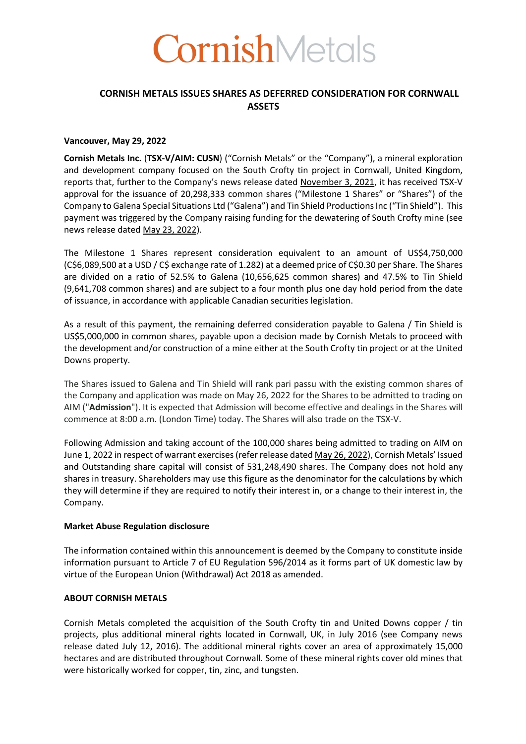

# **CORNISH METALS ISSUES SHARES AS DEFERRED CONSIDERATION FOR CORNWALL ASSETS**

#### **Vancouver, May 29, 2022**

**Cornish Metals Inc.** (**TSX-V/AIM: CUSN**) ("Cornish Metals" or the "Company"), a mineral exploration and development company focused on the South Crofty tin project in Cornwall, United Kingdom, reports that, further to the Company's news release dated November 3, 2021, it has received TSX-V approval for the issuance of 20,298,333 common shares ("Milestone 1 Shares" or "Shares") of the Company to Galena Special Situations Ltd ("Galena") and Tin Shield Productions Inc ("Tin Shield"). This payment was triggered by the Company raising funding for the dewatering of South Crofty mine (see news release dated May 23, 2022).

The Milestone 1 Shares represent consideration equivalent to an amount of US\$4,750,000 (C\$6,089,500 at a USD / C\$ exchange rate of 1.282) at a deemed price of C\$0.30 per Share. The Shares are divided on a ratio of 52.5% to Galena (10,656,625 common shares) and 47.5% to Tin Shield (9,641,708 common shares) and are subject to a four month plus one day hold period from the date of issuance, in accordance with applicable Canadian securities legislation.

As a result of this payment, the remaining deferred consideration payable to Galena / Tin Shield is US\$5,000,000 in common shares, payable upon a decision made by Cornish Metals to proceed with the development and/or construction of a mine either at the South Crofty tin project or at the United Downs property.

The Shares issued to Galena and Tin Shield will rank pari passu with the existing common shares of the Company and application was made on May 26, 2022 for the Shares to be admitted to trading on AIM ("**Admission**"). It is expected that Admission will become effective and dealings in the Shares will commence at 8:00 a.m. (London Time) today. The Shares will also trade on the TSX-V.

Following Admission and taking account of the 100,000 shares being admitted to trading on AIM on June 1, 2022 in respect of warrant exercises (refer release dated May 26, 2022), Cornish Metals' Issued and Outstanding share capital will consist of 531,248,490 shares. The Company does not hold any shares in treasury. Shareholders may use this figure as the denominator for the calculations by which they will determine if they are required to notify their interest in, or a change to their interest in, the Company.

#### **Market Abuse Regulation disclosure**

The information contained within this announcement is deemed by the Company to constitute inside information pursuant to Article 7 of EU Regulation 596/2014 as it forms part of UK domestic law by virtue of the European Union (Withdrawal) Act 2018 as amended.

## **ABOUT CORNISH METALS**

Cornish Metals completed the acquisition of the South Crofty tin and United Downs copper / tin projects, plus additional mineral rights located in Cornwall, UK, in July 2016 (see Company news release dated July 12, 2016). The additional mineral rights cover an area of approximately 15,000 hectares and are distributed throughout Cornwall. Some of these mineral rights cover old mines that were historically worked for copper, tin, zinc, and tungsten.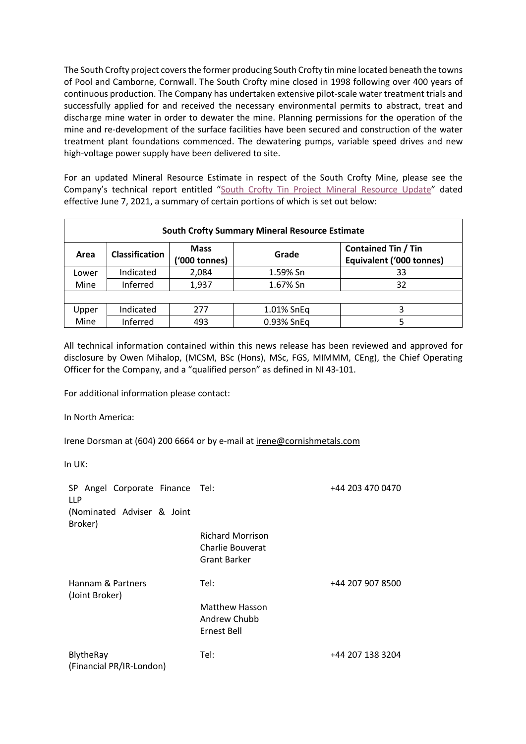The South Crofty project covers the former producing South Crofty tin mine located beneath the towns of Pool and Camborne, Cornwall. The South Crofty mine closed in 1998 following over 400 years of continuous production. The Company has undertaken extensive pilot-scale water treatment trials and successfully applied for and received the necessary environmental permits to abstract, treat and discharge mine water in order to dewater the mine. Planning permissions for the operation of the mine and re-development of the surface facilities have been secured and construction of the water treatment plant foundations commenced. The dewatering pumps, variable speed drives and new high-voltage power supply have been delivered to site.

For an updated Mineral Resource Estimate in respect of the South Crofty Mine, please see the Company's technical report entitled "South Crofty Tin Project Mineral Resource Update" dated effective June 7, 2021, a summary of certain portions of which is set out below:

| <b>South Crofty Summary Mineral Resource Estimate</b> |                       |                              |            |                                                        |  |  |
|-------------------------------------------------------|-----------------------|------------------------------|------------|--------------------------------------------------------|--|--|
| Area                                                  | <b>Classification</b> | <b>Mass</b><br>('000 tonnes) | Grade      | <b>Contained Tin / Tin</b><br>Equivalent ('000 tonnes) |  |  |
| Lower                                                 | Indicated             | 2,084                        | 1.59% Sn   | 33                                                     |  |  |
| Mine                                                  | Inferred              | 1,937                        | 1.67% Sn   | 32                                                     |  |  |
|                                                       |                       |                              |            |                                                        |  |  |
| Upper                                                 | Indicated             | 277                          | 1.01% SnEq | 3                                                      |  |  |
| Mine                                                  | Inferred              | 493                          | 0.93% SnEq |                                                        |  |  |

All technical information contained within this news release has been reviewed and approved for disclosure by Owen Mihalop, (MCSM, BSc (Hons), MSc, FGS, MIMMM, CEng), the Chief Operating Officer for the Company, and a "qualified person" as defined in NI 43-101.

For additional information please contact:

In North America:

Irene Dorsman at (604) 200 6664 or by e-mail at irene@cornishmetals.com

In UK:

| SP Angel Corporate Finance Tel:<br><b>LLP</b> |                                                             | +44 203 470 0470 |
|-----------------------------------------------|-------------------------------------------------------------|------------------|
| (Nominated Adviser & Joint<br>Broker)         |                                                             |                  |
|                                               | <b>Richard Morrison</b><br>Charlie Bouverat<br>Grant Barker |                  |
| Hannam & Partners<br>(Joint Broker)           | Tel:                                                        | +44 207 907 8500 |
|                                               | <b>Matthew Hasson</b><br>Andrew Chubb<br>Ernest Bell        |                  |
| BlytheRay<br>(Financial PR/IR-London)         | Tel:                                                        | +44 207 138 3204 |